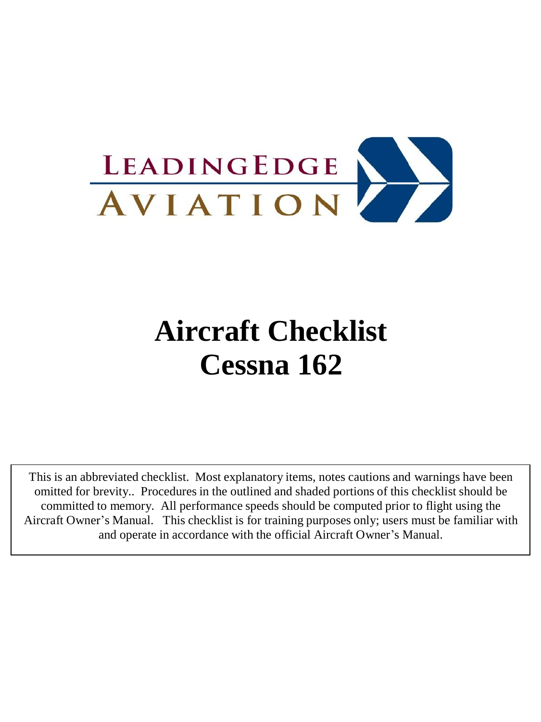

# **Aircraft Checklist Cessna 162**

This is an abbreviated checklist. Most explanatory items, notes cautions and warnings have been omitted for brevity.. Procedures in the outlined and shaded portions of this checklist should be committed to memory. All performance speeds should be computed prior to flight using the Aircraft Owner's Manual. This checklist is for training purposes only; users must be familiar with and operate in accordance with the official Aircraft Owner's Manual.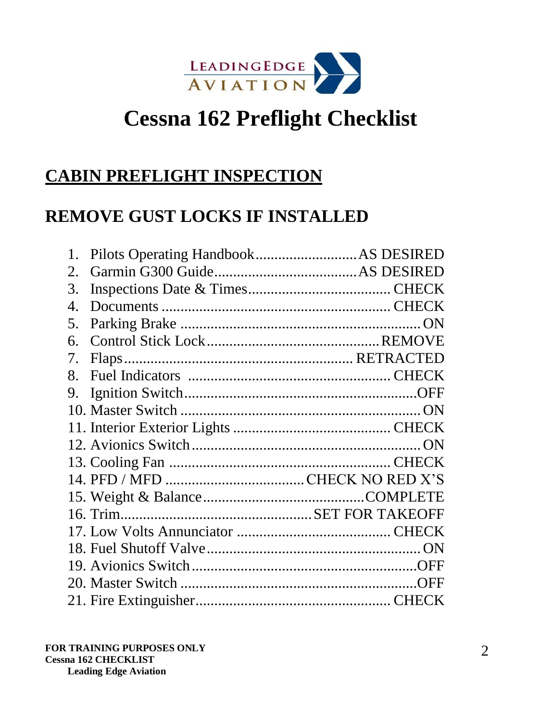

# **Cessna 162 Preflight Checklist**

#### **CABIN PREFLIGHT INSPECTION**

## **REMOVE GUST LOCKS IF INSTALLED**

| 1.          |  |
|-------------|--|
| $2_{\cdot}$ |  |
| 3.          |  |
| 4.          |  |
| 5.          |  |
| б.          |  |
| 7.          |  |
| 8.          |  |
| 9.          |  |
|             |  |
|             |  |
|             |  |
|             |  |
|             |  |
|             |  |
|             |  |
|             |  |
|             |  |
|             |  |
|             |  |
|             |  |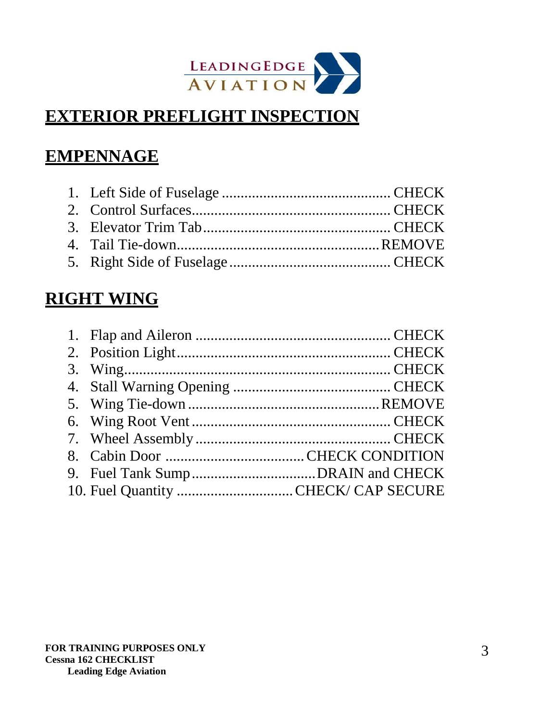

# **EXTERIOR PREFLIGHT INSPECTION**

# **EMPENNAGE**

#### **RIGHT WING**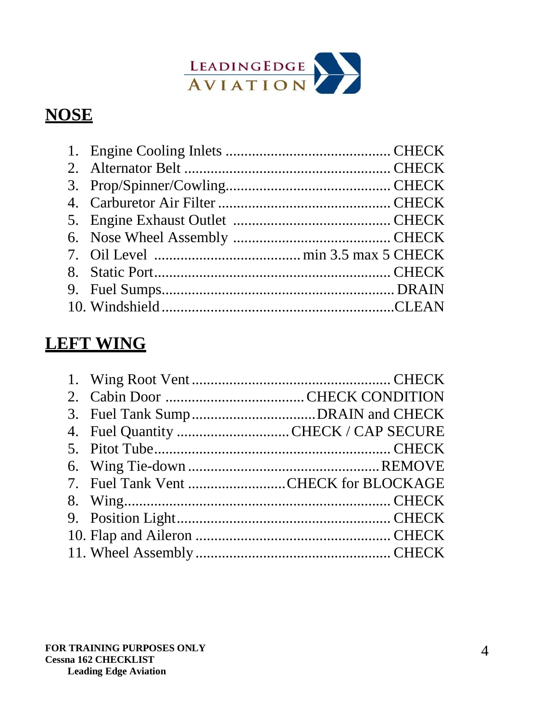

# **NOSE**

# **LEFT WING**

| 4. Fuel Quantity CHECK / CAP SECURE  |  |
|--------------------------------------|--|
|                                      |  |
|                                      |  |
| 7. Fuel Tank Vent CHECK for BLOCKAGE |  |
|                                      |  |
|                                      |  |
|                                      |  |
|                                      |  |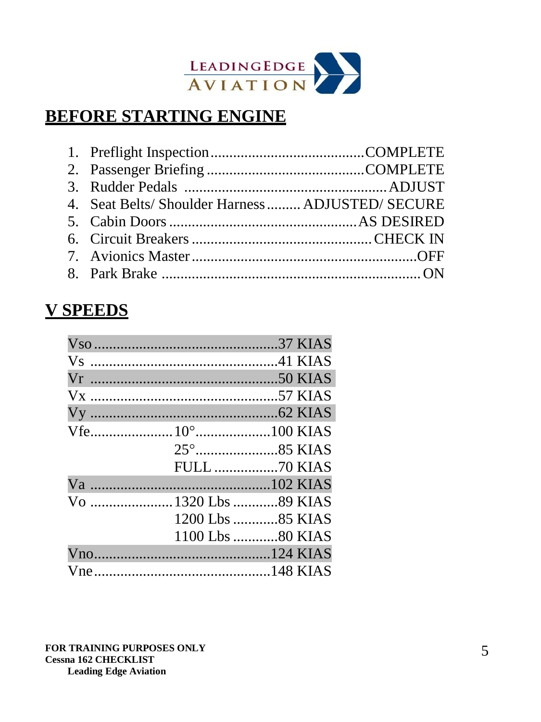

# **BEFORE STARTING ENGINE**

| 4. Seat Belts/Shoulder Harness  ADJUSTED/ SECURE |  |
|--------------------------------------------------|--|
|                                                  |  |
|                                                  |  |
|                                                  |  |
|                                                  |  |

## **V SPEEDS**

|                      | <b>FULL 70 KIAS</b> |
|----------------------|---------------------|
|                      |                     |
| Vo  1320 Lbs 89 KIAS |                     |
|                      | 1200 Lbs 85 KIAS    |
|                      | 1100 Lbs 80 KIAS    |
|                      |                     |
|                      |                     |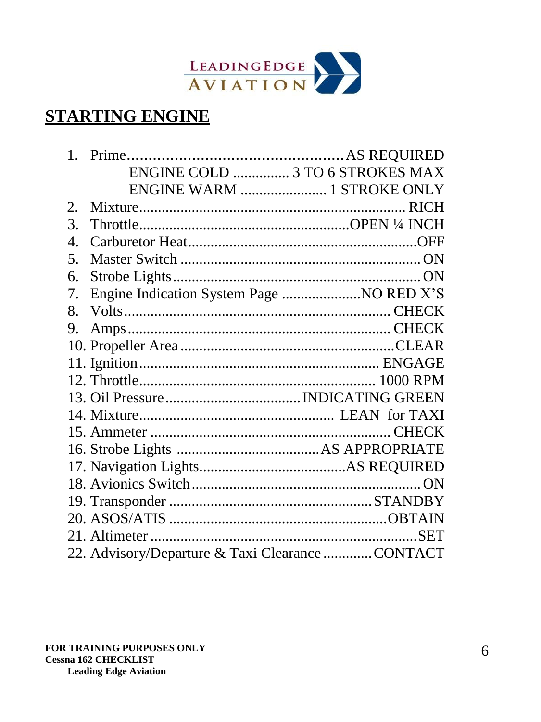

# **STARTING ENGINE**

|              | ENGINE COLD  3 TO 6 STROKES MAX                 |  |
|--------------|-------------------------------------------------|--|
|              | ENGINE WARM  1 STROKE ONLY                      |  |
| 2.           |                                                 |  |
| 3.           |                                                 |  |
| $\mathbf{4}$ |                                                 |  |
| 5.           |                                                 |  |
| 6.           |                                                 |  |
| 7.           | Engine Indication System Page  NO RED X'S       |  |
| 8.           |                                                 |  |
| 9.           |                                                 |  |
|              |                                                 |  |
|              |                                                 |  |
|              |                                                 |  |
|              |                                                 |  |
|              |                                                 |  |
|              |                                                 |  |
|              |                                                 |  |
|              |                                                 |  |
|              |                                                 |  |
|              |                                                 |  |
|              |                                                 |  |
|              |                                                 |  |
|              | 22. Advisory/Departure & Taxi Clearance CONTACT |  |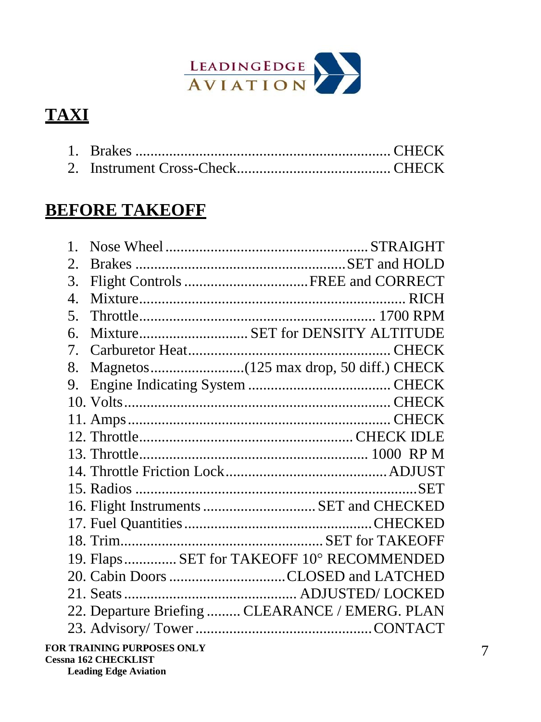

# **TAXI**

# **BEFORE TAKEOFF**

| $1_{-}$               |                                                 |  |
|-----------------------|-------------------------------------------------|--|
| 2.                    |                                                 |  |
| 3.                    |                                                 |  |
| $\mathcal{A}_{\cdot}$ |                                                 |  |
| 5.                    |                                                 |  |
| б.                    | MixtureSET for DENSITY ALTITUDE                 |  |
| 7.                    |                                                 |  |
| 8.                    |                                                 |  |
| 9.                    |                                                 |  |
|                       |                                                 |  |
|                       |                                                 |  |
|                       |                                                 |  |
|                       |                                                 |  |
|                       |                                                 |  |
|                       |                                                 |  |
|                       | 16. Flight Instruments  SET and CHECKED         |  |
|                       |                                                 |  |
|                       |                                                 |  |
|                       | 19. Flaps SET for TAKEOFF 10° RECOMMENDED       |  |
|                       | 20. Cabin Doors CLOSED and LATCHED              |  |
|                       |                                                 |  |
|                       | 22. Departure Briefing  CLEARANCE / EMERG. PLAN |  |
|                       |                                                 |  |
|                       | <b>TRAINING DUDDOCES ONE V</b>                  |  |

**Leading Edge Aviation**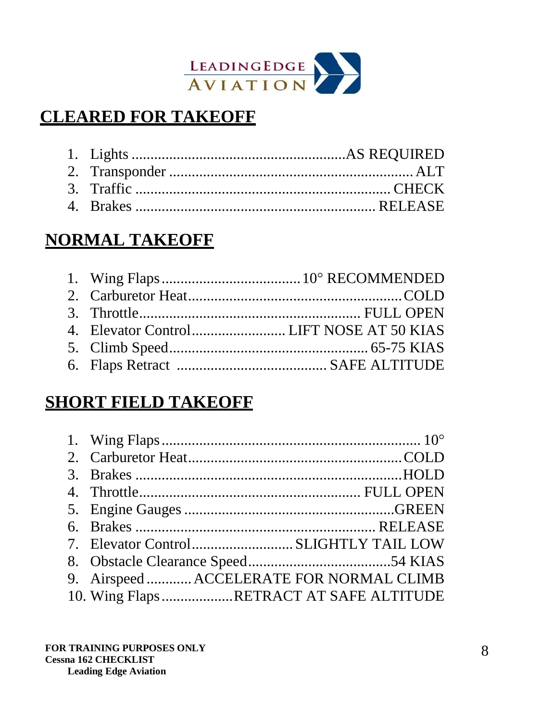

# **CLEARED FOR TAKEOFF**

# **NORMAL TAKEOFF**

# **SHORT FIELD TAKEOFF**

| 9. Airspeed  ACCELERATE FOR NORMAL CLIMB |  |
|------------------------------------------|--|
| 10. Wing Flaps RETRACT AT SAFE ALTITUDE  |  |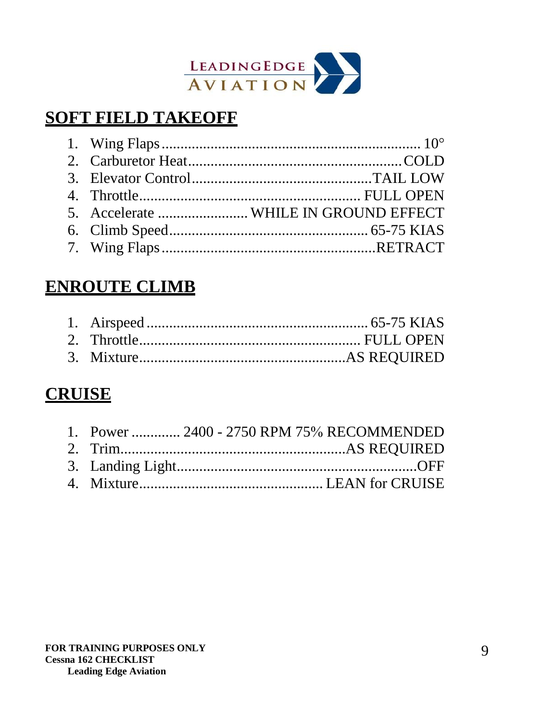

## **SOFT FIELD TAKEOFF**

| 5. Accelerate  WHILE IN GROUND EFFECT |
|---------------------------------------|
|                                       |
|                                       |
|                                       |

#### **ENROUTE CLIMB**

## **CRUISE**

| 1. Power  2400 - 2750 RPM 75% RECOMMENDED |  |
|-------------------------------------------|--|
|                                           |  |
|                                           |  |
|                                           |  |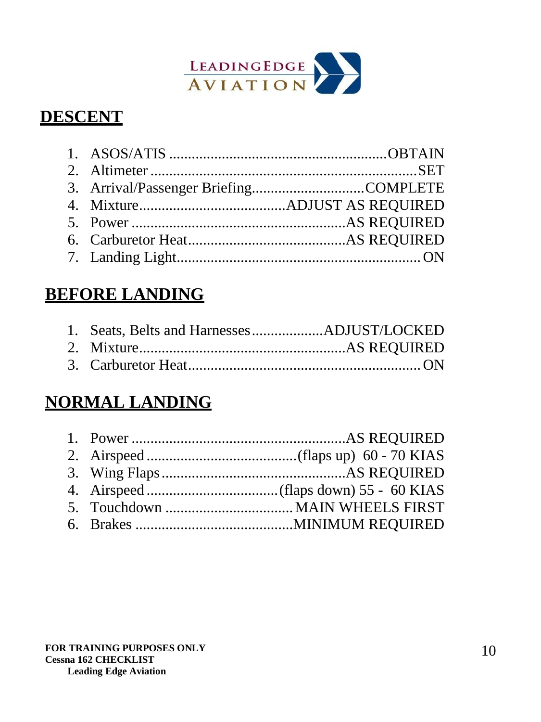

# **DESCENT**

# **BEFORE LANDING**

# **NORMAL LANDING**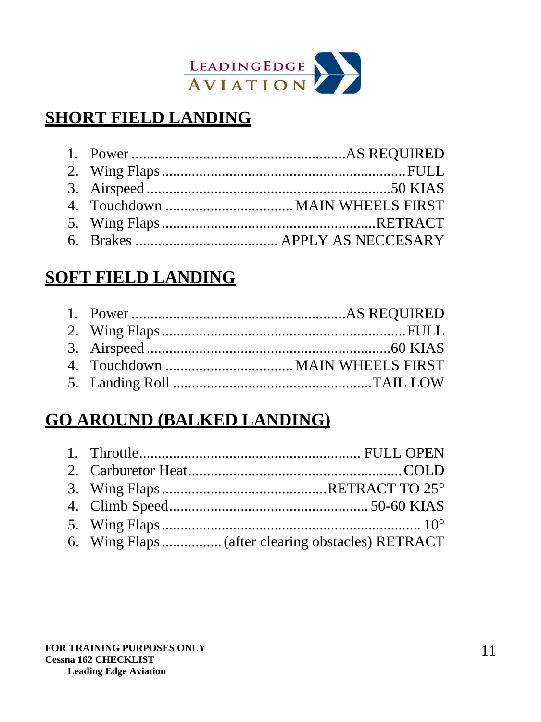

# **SHORT FIELD LANDING**

# **SOFT FIELD LANDING**

# **GO AROUND (BALKED LANDING)**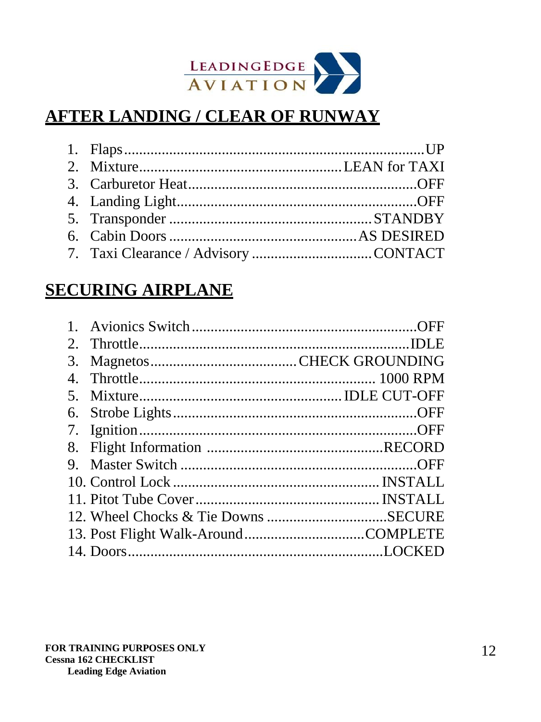

# **AFTER LANDING / CLEAR OF RUNWAY**

## **SECURING AIRPLANE**

| $2_{\cdot}$    |  |
|----------------|--|
| 3.             |  |
| 4 <sup>1</sup> |  |
| 5.             |  |
| 6.             |  |
| 7.             |  |
| 8.             |  |
| 9.             |  |
|                |  |
|                |  |
|                |  |
|                |  |
|                |  |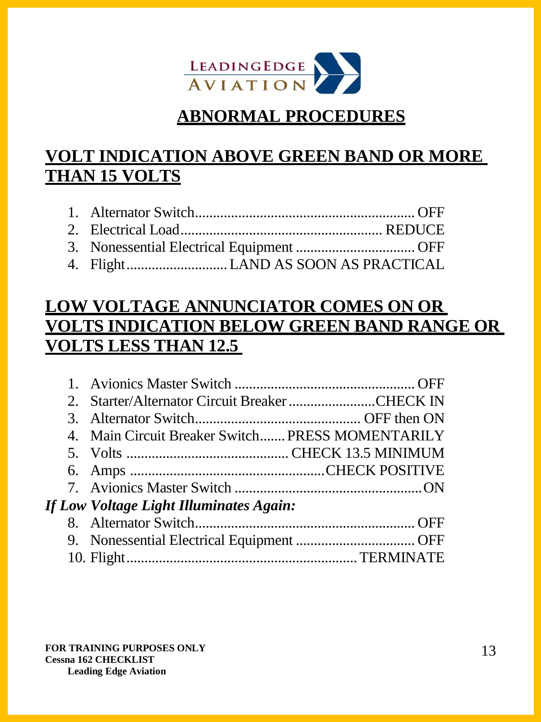

#### **ABNORMAL PROCEDURES**

# **VOLT INDICATION ABOVE GREEN BAND OR MORE THAN 15 VOLTS**

- 1. Alternator Switch............................................................. OFF 2. Electrical Load........................................................ REDUCE
- 3. Nonessential Electrical Equipment ................................. OFF
- 4. Flight............................LAND AS SOON AS PRACTICAL

## **LOW VOLTAGE ANNUNCIATOR COMES ON OR VOLTS INDICATION BELOW GREEN BAND RANGE OR VOLTS LESS THAN 12.5**

| 2. Starter/Alternator Circuit Breaker CHECK IN   |  |
|--------------------------------------------------|--|
|                                                  |  |
| 4. Main Circuit Breaker Switch PRESS MOMENTARILY |  |
|                                                  |  |
|                                                  |  |
|                                                  |  |
| If Low Voltage Light Illuminates Again:          |  |
|                                                  |  |
|                                                  |  |
|                                                  |  |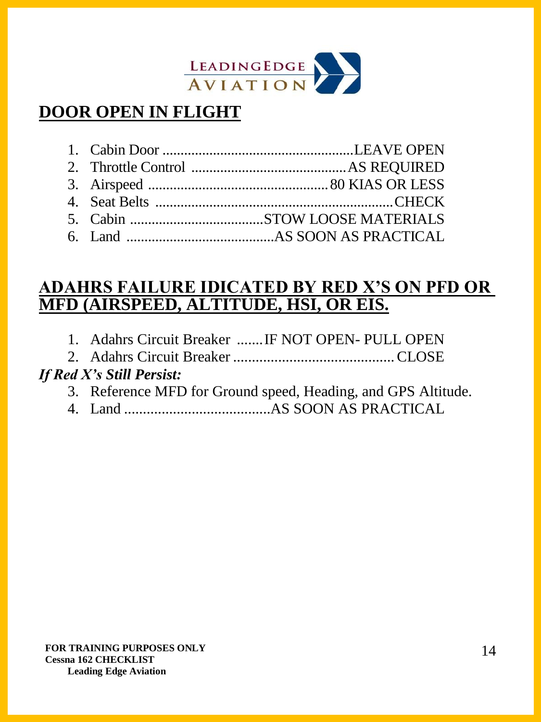

# **DOOR OPEN IN FLIGHT**

#### **ADAHRS FAILURE IDICATED BY RED X'S ON PFD OR MFD (AIRSPEED, ALTITUDE, HSI, OR EIS.**

- 1. Adahrs Circuit Breaker .......IF NOT OPEN- PULL OPEN
- 2. Adahrs Circuit Breaker ...........................................CLOSE

#### *If Red X's Still Persist:*

- 3. Reference MFD for Ground speed, Heading, and GPS Altitude.
- 4. Land .......................................AS SOON AS PRACTICAL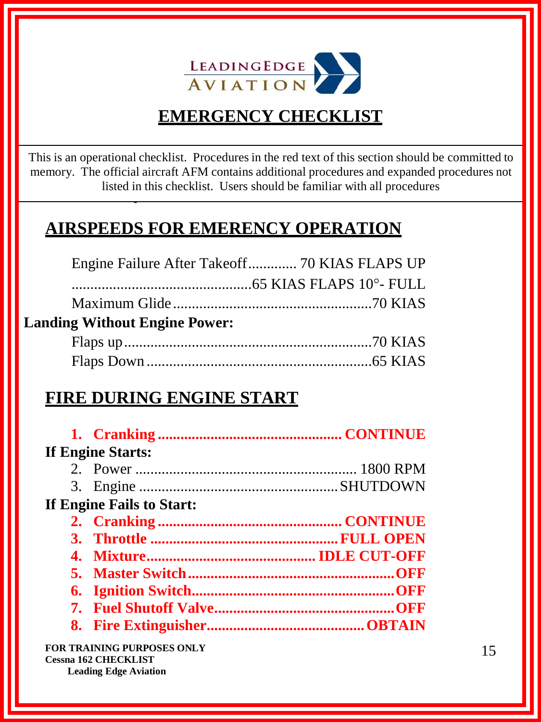

# **EMERGENCY CHECKLIST**

This is an operational checklist. Procedures in the red text of this section should be committed to memory. The official aircraft AFM contains additional procedures and expanded procedures not listed in this checklist. Users should be familiar with all procedures **familiar with all procedures.**

# **AIRSPEEDS FOR EMERENCY OPERATION**

|                                      | Engine Failure After Takeoff 70 KIAS FLAPS UP |  |
|--------------------------------------|-----------------------------------------------|--|
|                                      |                                               |  |
|                                      |                                               |  |
| <b>Landing Without Engine Power:</b> |                                               |  |
|                                      |                                               |  |
|                                      |                                               |  |

## **FIRE DURING ENGINE START**

| <b>If Engine Starts:</b>  |  |
|---------------------------|--|
|                           |  |
|                           |  |
| If Engine Fails to Start: |  |
|                           |  |
|                           |  |
|                           |  |
|                           |  |
|                           |  |
|                           |  |
|                           |  |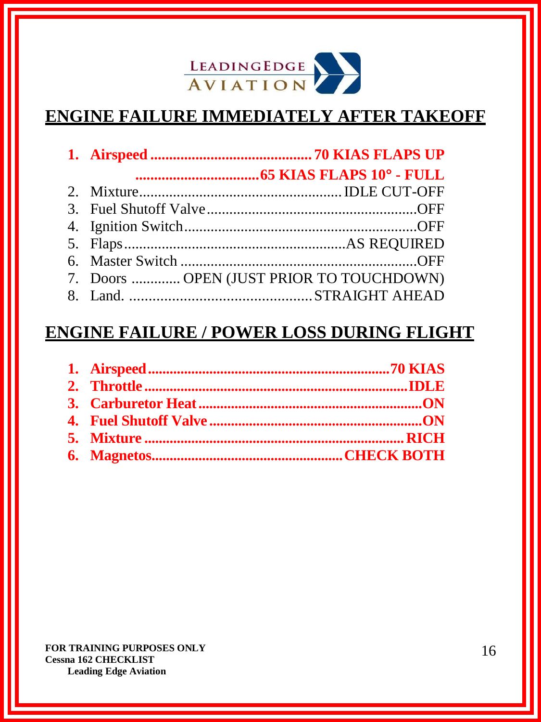

# **ENGINE FAILURE IMMEDIATELY AFTER TAKEOFF**

| 7. Doors  OPEN (JUST PRIOR TO TOUCHDOWN) |  |
|------------------------------------------|--|
|                                          |  |

### **ENGINE FAILURE / POWER LOSS DURING FLIGHT**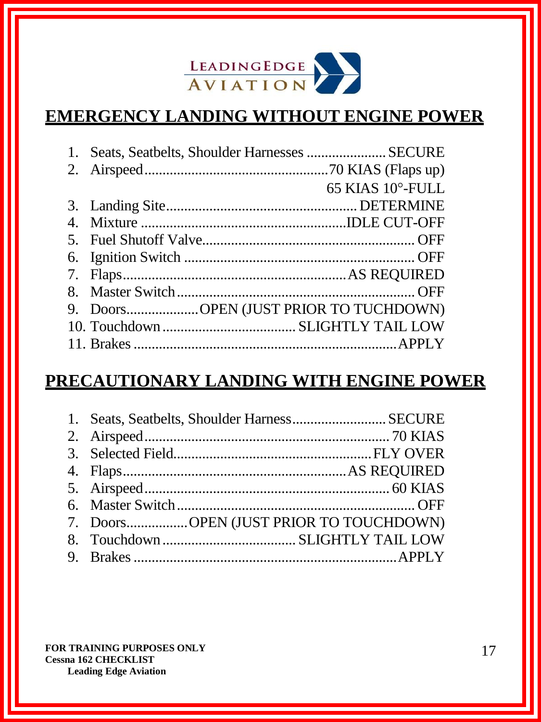

# **EMERGENCY LANDING WITHOUT ENGINE POWER**

| 1. | Seats, Seatbelts, Shoulder Harnesses  SECURE |                  |
|----|----------------------------------------------|------------------|
|    |                                              |                  |
|    |                                              | 65 KIAS 10°-FULL |
|    |                                              |                  |
|    |                                              |                  |
|    |                                              |                  |
|    |                                              |                  |
|    |                                              |                  |
|    |                                              |                  |
|    | 9. DoorsOPEN (JUST PRIOR TO TUCHDOWN)        |                  |
|    |                                              |                  |
|    |                                              |                  |

# **PRECAUTIONARY LANDING WITH ENGINE POWER**

| 1. Seats, Seatbelts, Shoulder Harness SECURE |  |
|----------------------------------------------|--|
|                                              |  |
|                                              |  |
|                                              |  |
|                                              |  |
|                                              |  |
| 7. DoorsOPEN (JUST PRIOR TO TOUCHDOWN)       |  |
|                                              |  |
|                                              |  |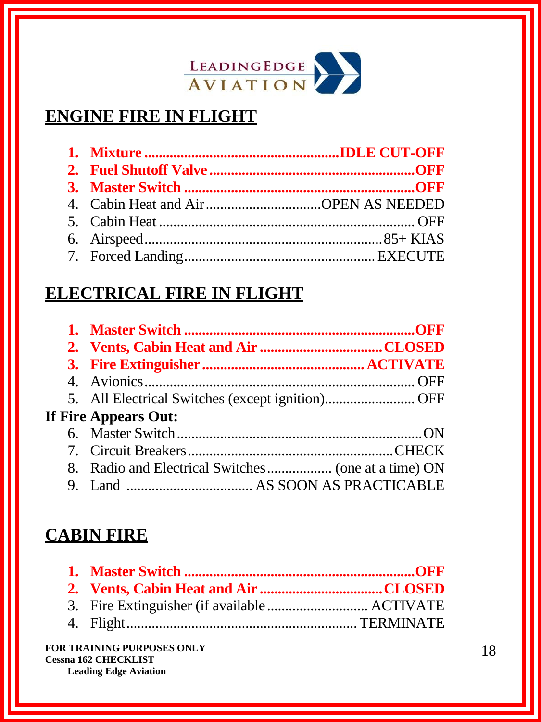

# **ENGINE FIRE IN FLIGHT**

#### **ELECTRICAL FIRE IN FLIGHT**

| 5. All Electrical Switches (except ignition)OFF |  |
|-------------------------------------------------|--|
| <b>If Fire Appears Out:</b>                     |  |
|                                                 |  |
|                                                 |  |
|                                                 |  |
|                                                 |  |

#### **CABIN FIRE**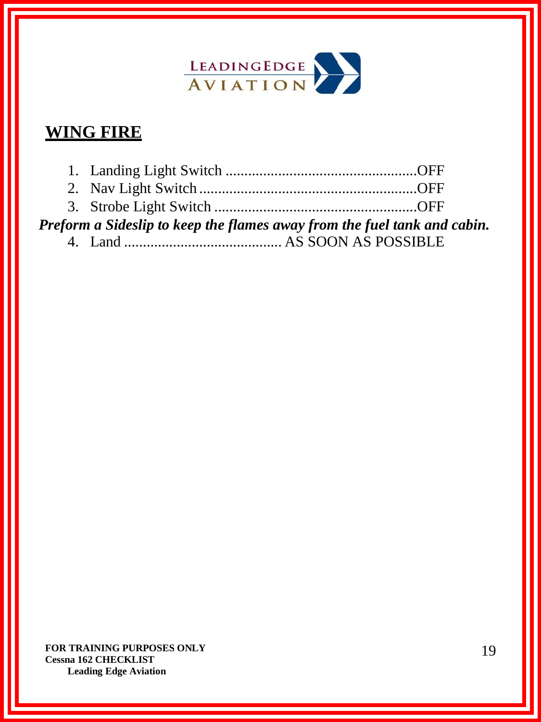

# **WING FIRE**

| Preform a Sideslip to keep the flames away from the fuel tank and cabin. |  |
|--------------------------------------------------------------------------|--|
|                                                                          |  |